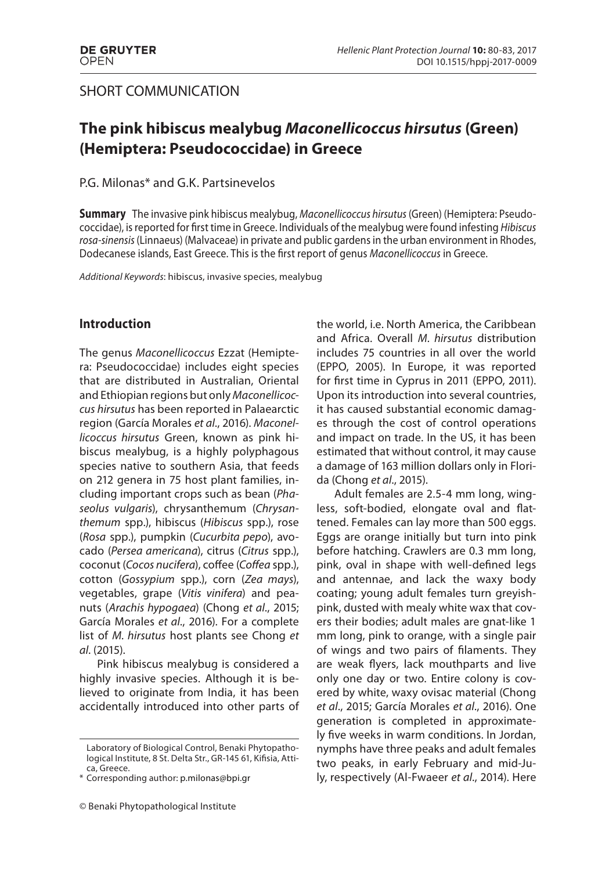### SHORT COMMUNICATION

# **The pink hibiscus mealybug** *Maconellicoccus hirsutus* **(Green) (Hemiptera: Pseudococcidae) in Greece**

#### P.G. Milonas\* and G.K. Partsinevelos

**Summary** The invasive pink hibiscus mealybug, Maconellicoccus hirsutus (Green) (Hemiptera: Pseudococcidae), is reported for first time in Greece. Individuals of the mealybug were found infesting Hibiscus rosa-sinensis (Linnaeus) (Malvaceae) in private and public gardens in the urban environment in Rhodes, Dodecanese islands, East Greece. This is the first report of genus Maconellicoccus in Greece.

Additional Keywords: hibiscus, invasive species, mealybug

#### **Introduction**

The genus Maconellicoccus Ezzat (Hemiptera: Pseudococcidae) includes eight species that are distributed in Australian, Oriental and Ethiopian regions but only Maconellicoccus hirsutus has been reported in Palaearctic region (García Morales et al., 2016). Maconellicoccus hirsutus Green, known as pink hibiscus mealybug, is a highly polyphagous species native to southern Asia, that feeds on 212 genera in 75 host plant families, including important crops such as bean (Phaseolus vulgaris), chrysanthemum (Chrysanthemum spp.), hibiscus (Hibiscus spp.), rose (Rosa spp.), pumpkin (Cucurbita pepo), avocado (Persea americana), citrus (Citrus spp.), coconut (Cocos nucifera), coffee (Coffea spp.), cotton (Gossypium spp.), corn (Zea mays), vegetables, grape (Vitis vinifera) and peanuts (Arachis hypogaea) (Chong et al., 2015; García Morales et al., 2016). For a complete list of M. hirsutus host plants see Chong et al. (2015).

Pink hibiscus mealybug is considered a highly invasive species. Although it is believed to originate from India, it has been accidentally introduced into other parts of the world, i.e. North America, the Caribbean and Africa. Overall M. hirsutus distribution includes 75 countries in all over the world (EPPO, 2005). In Europe, it was reported for first time in Cyprus in 2011 (EPPO, 2011). Upon its introduction into several countries, it has caused substantial economic damages through the cost of control operations and impact on trade. In the US, it has been estimated that without control, it may cause a damage of 163 million dollars only in Florida (Chong et al., 2015).

Adult females are 2.5-4 mm long, wingless, soft-bodied, elongate oval and flattened. Females can lay more than 500 eggs. Eggs are orange initially but turn into pink before hatching. Crawlers are 0.3 mm long, pink, oval in shape with well-defined legs and antennae, and lack the waxy body coating; young adult females turn greyishpink, dusted with mealy white wax that covers their bodies; adult males are gnat-like 1 mm long, pink to orange, with a single pair of wings and two pairs of filaments. They are weak flyers, lack mouthparts and live only one day or two. Entire colony is covered by white, waxy ovisac material (Chong et al., 2015; García Morales et al., 2016). One generation is completed in approximately five weeks in warm conditions. In Jordan, nymphs have three peaks and adult females two peaks, in early February and mid-July, respectively (Al-Fwaeer et al., 2014). Here

Laboratory of Biological Control, Benaki Phytopathological Institute, 8 St. Delta Str., GR-145 61, Kifisia, Attica, Greece.

<sup>\*</sup> Corresponding author: p.milonas@bpi.gr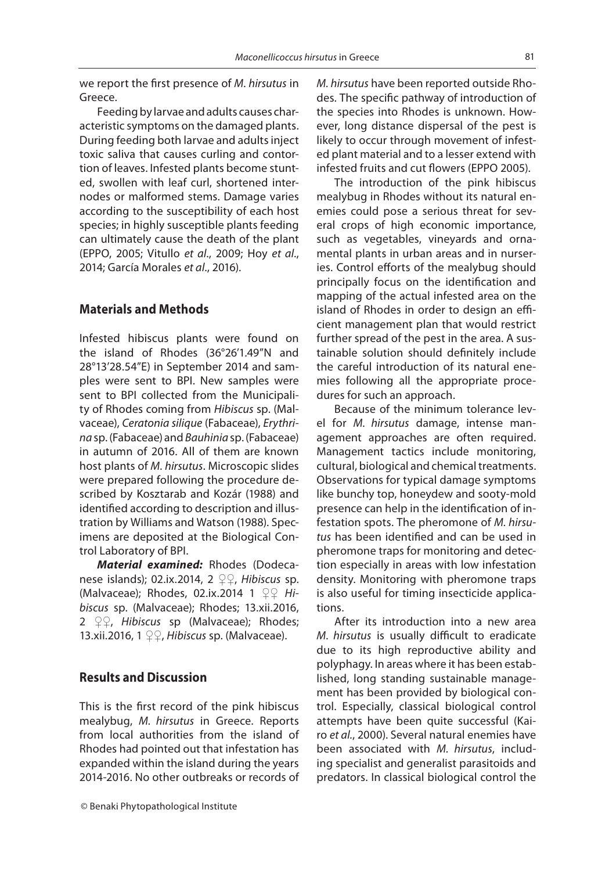we report the first presence of  $M$ . hirsutus in Greece.

Feeding by larvae and adults causes characteristic symptoms on the damaged plants. During feeding both larvae and adults inject toxic saliva that causes curling and contortion of leaves. Infested plants become stunted, swollen with leaf curl, shortened internodes or malformed stems. Damage varies according to the susceptibility of each host species; in highly susceptible plants feeding can ultimately cause the death of the plant (EPPO, 2005; Vitullo et al., 2009; Hoy et al., 2014; García Morales et al., 2016).

#### **Materials and Methods**

Infested hibiscus plants were found on the island of Rhodes (36°26'1.49"N and 28°13'28.54"E) in September 2014 and samples were sent to BPI. New samples were sent to BPI collected from the Municipality of Rhodes coming from Hibiscus sp. (Malvaceae), Ceratonia silique (Fabaceae), Erythrina sp. (Fabaceae) and Bauhinia sp. (Fabaceae) in autumn of 2016. All of them are known host plants of M. hirsutus. Microscopic slides were prepared following the procedure described by Kosztarab and Kozár (1988) and identified according to description and illustration by Williams and Watson (1988). Specimens are deposited at the Biological Control Laboratory of BPI.

*Material examined:* Rhodes (Dodecanese islands); 02.ix.2014, 2  $\mathcal{Q} \mathcal{Q}$ , Hibiscus sp. (Malvaceae); Rhodes, 02.ix.2014 1  $QQ$  Hibiscus sp. (Malvaceae); Rhodes; 13.xii.2016, 2  $\mathcal{Q} \mathcal{Q}$ , Hibiscus sp (Malvaceae); Rhodes; 13.xii.2016, 1  $\mathcal{Q} \mathcal{Q}$ , Hibiscus sp. (Malvaceae).

### **Results and Discussion**

This is the first record of the pink hibiscus mealybug, M. hirsutus in Greece. Reports from local authorities from the island of Rhodes had pointed out that infestation has expanded within the island during the years 2014-2016. No other outbreaks or records of M. hirsutus have been reported outside Rhodes. The specific pathway of introduction of the species into Rhodes is unknown. However, long distance dispersal of the pest is likely to occur through movement of infested plant material and to a lesser extend with infested fruits and cut flowers (EPPO 2005).

The introduction of the pink hibiscus mealybug in Rhodes without its natural enemies could pose a serious threat for several crops of high economic importance, such as vegetables, vineyards and ornamental plants in urban areas and in nurseries. Control efforts of the mealybug should principally focus on the identification and mapping of the actual infested area on the island of Rhodes in order to design an efficient management plan that would restrict further spread of the pest in the area. A sustainable solution should definitely include the careful introduction of its natural enemies following all the appropriate procedures for such an approach.

Because of the minimum tolerance level for M. hirsutus damage, intense management approaches are often required. Management tactics include monitoring, cultural, biological and chemical treatments. Observations for typical damage symptoms like bunchy top, honeydew and sooty-mold presence can help in the identification of infestation spots. The pheromone of M. hirsutus has been identified and can be used in pheromone traps for monitoring and detection especially in areas with low infestation density. Monitoring with pheromone traps is also useful for timing insecticide applications.

After its introduction into a new area M. hirsutus is usually difficult to eradicate due to its high reproductive ability and polyphagy. In areas where it has been established, long standing sustainable management has been provided by biological control. Especially, classical biological control attempts have been quite successful (Kairo et al., 2000). Several natural enemies have been associated with M. hirsutus, including specialist and generalist parasitoids and predators. In classical biological control the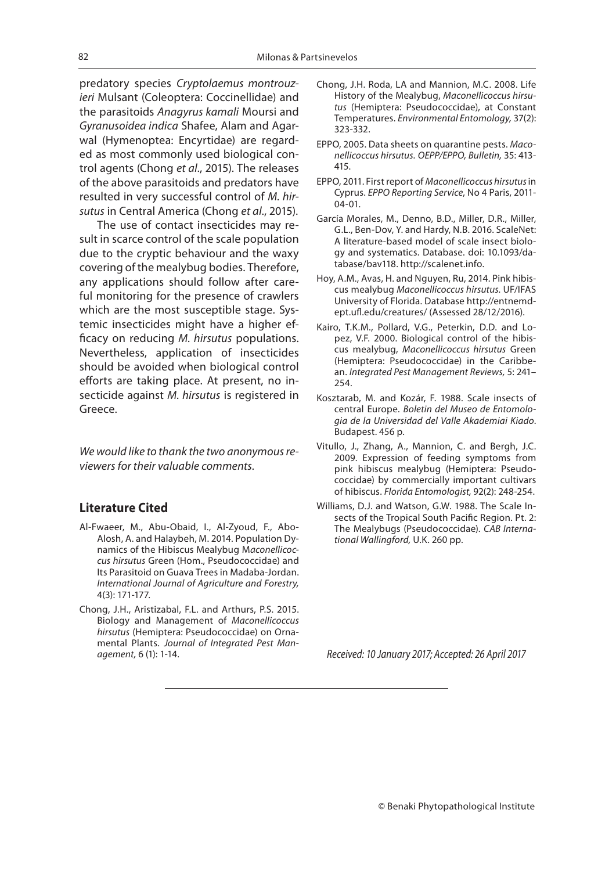predatory species Cryptolaemus montrouzieri Mulsant (Coleoptera: Coccinellidae) and the parasitoids Anagyrus kamali Moursi and Gyranusoidea indica Shafee, Alam and Agarwal (Hymenoptea: Encyrtidae) are regarded as most commonly used biological control agents (Chong et al., 2015). The releases of the above parasitoids and predators have resulted in very successful control of M. hirsutus in Central America (Chong et al., 2015).

The use of contact insecticides may result in scarce control of the scale population due to the cryptic behaviour and the waxy covering of the mealybug bodies. Therefore, any applications should follow after careful monitoring for the presence of crawlers which are the most susceptible stage. Systemic insecticides might have a higher efficacy on reducing M. hirsutus populations. Nevertheless, application of insecticides should be avoided when biological control efforts are taking place. At present, no insecticide against M. hirsutus is registered in Greece.

We would like to thank the two anonymous reviewers for their valuable comments.

#### **Literature Cited**

- Al-Fwaeer, M., Abu-Obaid, I., Al-Zyoud, F., Abo-Alosh, A. and Halaybeh, M. 2014. Population Dynamics of the Hibiscus Mealybug Maconellicoccus hirsutus Green (Hom., Pseudococcidae) and Its Parasitoid on Guava Trees in Madaba-Jordan. International Journal of Agriculture and Forestry, 4(3): 171-177.
- Chong, J.H., Aristizabal, F.L. and Arthurs, P.S. 2015. Biology and Management of Maconellicoccus hirsutus (Hemiptera: Pseudococcidae) on Ornamental Plants. Journal of Integrated Pest Management, 6 (1): 1-14.
- Chong, J.H. Roda, LA and Mannion, M.C. 2008. Life History of the Mealybug, Maconellicoccus hirsutus (Hemiptera: Pseudococcidae), at Constant Temperatures. Environmental Entomology, 37(2): 323-332.
- EPPO, 2005. Data sheets on quarantine pests. Maconellicoccus hirsutus. OEPP/EPPO, Bulletin, 35: 413- 415.
- EPPO, 2011. First report of Maconellicoccus hirsutus in Cyprus. EPPO Reporting Service, No 4 Paris, 2011- 04-01.
- García Morales, M., Denno, B.D., Miller, D.R., Miller, G.L., Ben-Dov, Y. and Hardy, N.B. 2016. ScaleNet: A literature-based model of scale insect biology and systematics. Database. doi: 10.1093/database/bav118. http://scalenet.info.
- Hoy, A.M., Avas, H. and Nguyen, Ru, 2014. Pink hibiscus mealybug Maconellicoccus hirsutus. UF/IFAS University of Florida. Database http://entnemdept.ufl.edu/creatures/ (Assessed 28/12/2016).
- Kairo, T.K.M., Pollard, V.G., Peterkin, D.D. and Lopez, V.F. 2000. Biological control of the hibiscus mealybug, Maconellicoccus hirsutus Green (Hemiptera: Pseudococcidae) in the Caribbean. Integrated Pest Management Reviews, 5: 241– 254.
- Kosztarab, M. and Kozár, F. 1988. Scale insects of central Europe. Boletin del Museo de Entomologia de la Universidad del Valle Akademiai Kiado. Budapest. 456 p.
- Vitullo, J., Zhang, A., Mannion, C. and Bergh, J.C. 2009. Expression of feeding symptoms from pink hibiscus mealybug (Hemiptera: Pseudococcidae) by commercially important cultivars of hibiscus. Florida Entomologist, 92(2): 248-254.
- Williams, D.J. and Watson, G.W. 1988. The Scale Insects of the Tropical South Pacific Region. Pt. 2: The Mealybugs (Pseudococcidae). CAB International Wallingford, U.K. 260 pp.

Received: 10 January 2017; Accepted: 26 April 2017